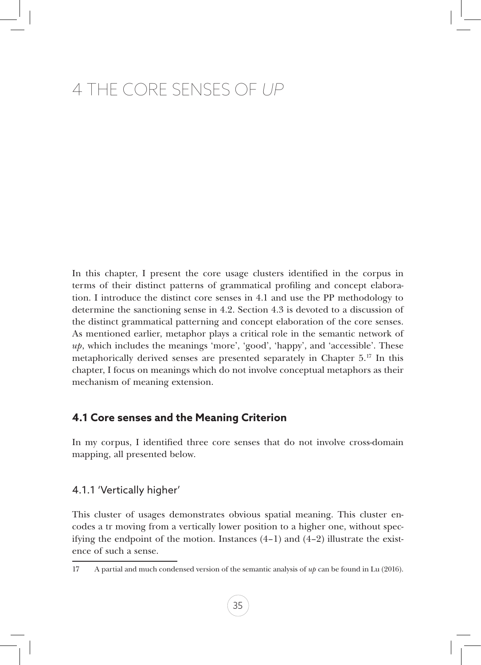# 4 The Core Senses of *Up*

In this chapter, I present the core usage clusters identified in the corpus in terms of their distinct patterns of grammatical profiling and concept elaboration. I introduce the distinct core senses in 4.1 and use the PP methodology to determine the sanctioning sense in 4.2. Section 4.3 is devoted to a discussion of the distinct grammatical patterning and concept elaboration of the core senses. As mentioned earlier, metaphor plays a critical role in the semantic network of *up*, which includes the meanings 'more', 'good', 'happy', and 'accessible'. These metaphorically derived senses are presented separately in Chapter  $5.^{17}$  In this chapter, I focus on meanings which do not involve conceptual metaphors as their mechanism of meaning extension.

# **4.1 Core senses and the Meaning Criterion**

In my corpus, I identified three core senses that do not involve cross-domain mapping, all presented below.

# 4.1.1 'Vertically higher'

This cluster of usages demonstrates obvious spatial meaning. This cluster encodes a tr moving from a vertically lower position to a higher one, without specifying the endpoint of the motion. Instances  $(4-1)$  and  $(4-2)$  illustrate the existence of such a sense.

<sup>17</sup> A partial and much condensed version of the semantic analysis of *up* can be found in Lu (2016).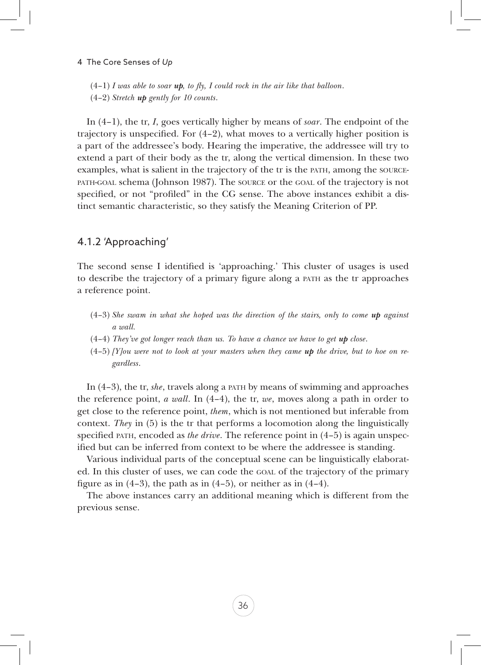$(4-1)$  *I* was able to soar *up*, to fly, *I* could rock in the air like that balloon.

(4–2) *Stretch up gently for 10 counts*.

In (4–1), the tr, *I*, goes vertically higher by means of *soar*. The endpoint of the trajectory is unspecified. For  $(4-2)$ , what moves to a vertically higher position is a part of the addressee's body. Hearing the imperative, the addressee will try to extend a part of their body as the tr, along the vertical dimension. In these two examples, what is salient in the trajectory of the tr is the path, among the sourcepath-goal schema (Johnson 1987). The source or the goal of the trajectory is not specified, or not "profiled" in the CG sense. The above instances exhibit a distinct semantic characteristic, so they satisfy the Meaning Criterion of PP.

# 4.1.2 'Approaching'

The second sense I identified is 'approaching.' This cluster of usages is used to describe the trajectory of a primary figure along a path as the tr approaches a reference point.

- (4–3) *She swam in what she hoped was the direction of the stairs, only to come up against a wall.*
- (4–4) *They've got longer reach than us. To have a chance we have to get up close*.
- $(4-5)$  *[Y]ou were not to look at your masters when they came up the drive, but to hoe on regardless*.

In (4–3), the tr, *she*, travels along a path by means of swimming and approaches the reference point, *a wall*. In (4–4), the tr, *we*, moves along a path in order to get close to the reference point, *them*, which is not mentioned but inferable from context. *They* in (5) is the tr that performs a locomotion along the linguistically specified path, encoded as *the drive*. The reference point in (4–5) is again unspecified but can be inferred from context to be where the addressee is standing.

Various individual parts of the conceptual scene can be linguistically elaborated. In this cluster of uses, we can code the goal of the trajectory of the primary figure as in  $(4-3)$ , the path as in  $(4-5)$ , or neither as in  $(4-4)$ .

The above instances carry an additional meaning which is different from the previous sense.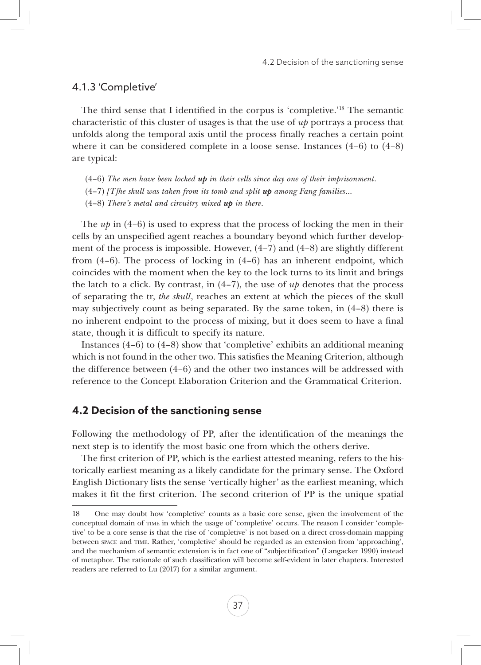### 4.1.3 'Completive'

The third sense that I identified in the corpus is 'completive.'18 The semantic characteristic of this cluster of usages is that the use of *up* portrays a process that unfolds along the temporal axis until the process finally reaches a certain point where it can be considered complete in a loose sense. Instances  $(4-6)$  to  $(4-8)$ are typical:

- (4–6) *The men have been locked up in their cells since day one of their imprisonment*.
- (4–7) *[T]he skull was taken from its tomb and split up among Fang families*…
- (4–8) *There's metal and circuitry mixed up in there*.

The *up* in (4–6) is used to express that the process of locking the men in their cells by an unspecified agent reaches a boundary beyond which further development of the process is impossible. However,  $(4-7)$  and  $(4-8)$  are slightly different from  $(4-6)$ . The process of locking in  $(4-6)$  has an inherent endpoint, which coincides with the moment when the key to the lock turns to its limit and brings the latch to a click. By contrast, in  $(4-7)$ , the use of  $up$  denotes that the process of separating the tr, *the skull*, reaches an extent at which the pieces of the skull may subjectively count as being separated. By the same token, in  $(4-8)$  there is no inherent endpoint to the process of mixing, but it does seem to have a final state, though it is difficult to specify its nature.

Instances  $(4-6)$  to  $(4-8)$  show that 'completive' exhibits an additional meaning which is not found in the other two. This satisfies the Meaning Criterion, although the difference between (4–6) and the other two instances will be addressed with reference to the Concept Elaboration Criterion and the Grammatical Criterion.

### **4.2 Decision of the sanctioning sense**

Following the methodology of PP, after the identification of the meanings the next step is to identify the most basic one from which the others derive.

The first criterion of PP, which is the earliest attested meaning, refers to the historically earliest meaning as a likely candidate for the primary sense. The Oxford English Dictionary lists the sense 'vertically higher' as the earliest meaning, which makes it fit the first criterion. The second criterion of PP is the unique spatial

<sup>18</sup> One may doubt how 'completive' counts as a basic core sense, given the involvement of the conceptual domain of time in which the usage of 'completive' occurs. The reason I consider 'completive' to be a core sense is that the rise of 'completive' is not based on a direct cross-domain mapping between space and time. Rather, 'completive' should be regarded as an extension from 'approaching', and the mechanism of semantic extension is in fact one of "subjectification" (Langacker 1990) instead of metaphor. The rationale of such classification will become self-evident in later chapters. Interested readers are referred to Lu (2017) for a similar argument.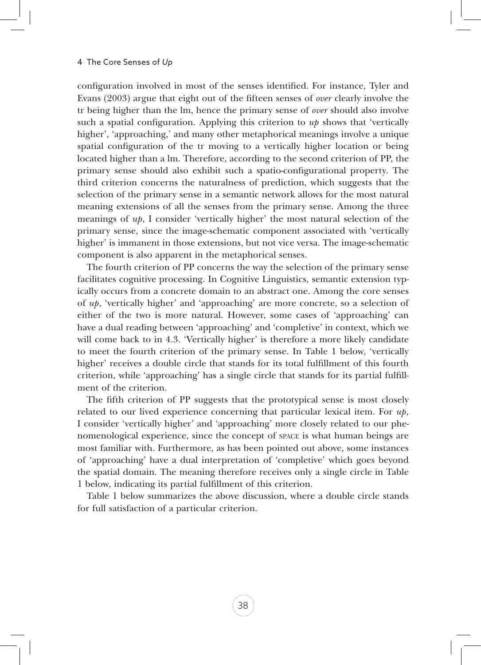configuration involved in most of the senses identified. For instance, Tyler and Evans (2003) argue that eight out of the fifteen senses of *over* clearly involve the tr being higher than the lm, hence the primary sense of *over* should also involve such a spatial configuration. Applying this criterion to  $u\psi$  shows that 'vertically higher', 'approaching,' and many other metaphorical meanings involve a unique spatial configuration of the tr moving to a vertically higher location or being located higher than a lm. Therefore, according to the second criterion of PP, the primary sense should also exhibit such a spatio-configurational property. The third criterion concerns the naturalness of prediction, which suggests that the selection of the primary sense in a semantic network allows for the most natural meaning extensions of all the senses from the primary sense. Among the three meanings of *up*, I consider 'vertically higher' the most natural selection of the primary sense, since the image-schematic component associated with 'vertically higher' is immanent in those extensions, but not vice versa. The image-schematic component is also apparent in the metaphorical senses.

The fourth criterion of PP concerns the way the selection of the primary sense facilitates cognitive processing. In Cognitive Linguistics, semantic extension typically occurs from a concrete domain to an abstract one. Among the core senses of *up*, 'vertically higher' and 'approaching' are more concrete, so a selection of either of the two is more natural. However, some cases of 'approaching' can have a dual reading between 'approaching' and 'completive' in context, which we will come back to in 4.3. 'Vertically higher' is therefore a more likely candidate to meet the fourth criterion of the primary sense. In Table 1 below, 'vertically higher' receives a double circle that stands for its total fulfillment of this fourth criterion, while 'approaching' has a single circle that stands for its partial fulfillment of the criterion.

The fifth criterion of PP suggests that the prototypical sense is most closely related to our lived experience concerning that particular lexical item. For *up*, I consider 'vertically higher' and 'approaching' more closely related to our phenomenological experience, since the concept of space is what human beings are most familiar with. Furthermore, as has been pointed out above, some instances of 'approaching' have a dual interpretation of 'completive' which goes beyond the spatial domain. The meaning therefore receives only a single circle in Table 1 below, indicating its partial fulfillment of this criterion.

Table 1 below summarizes the above discussion, where a double circle stands for full satisfaction of a particular criterion.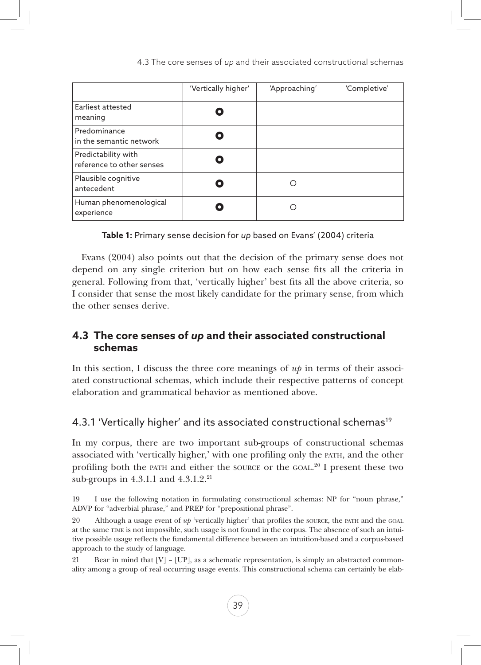|                                                  | 'Vertically higher' | 'Approaching' | 'Completive' |
|--------------------------------------------------|---------------------|---------------|--------------|
| Earliest attested<br>meaning                     |                     |               |              |
| Predominance<br>in the semantic network          |                     |               |              |
| Predictability with<br>reference to other senses |                     |               |              |
| Plausible cognitive<br>antecedent                |                     |               |              |
| Human phenomenological<br>experience             |                     |               |              |

**Table 1:** Primary sense decision for *up* based on Evans' (2004) criteria

Evans (2004) also points out that the decision of the primary sense does not depend on any single criterion but on how each sense fits all the criteria in general. Following from that, 'vertically higher' best fits all the above criteria, so I consider that sense the most likely candidate for the primary sense, from which the other senses derive.

# **4.3 The core senses of** *up* **and their associated constructional schemas**

In this section, I discuss the three core meanings of *up* in terms of their associated constructional schemas, which include their respective patterns of concept elaboration and grammatical behavior as mentioned above.

# 4.3.1 'Vertically higher' and its associated constructional schemas<sup>19</sup>

In my corpus, there are two important sub-groups of constructional schemas associated with 'vertically higher,' with one profiling only the path, and the other profiling both the PATH and either the SOURCE or the GOAL.<sup>20</sup> I present these two sub-groups in 4.3.1.1 and 4.3.1.2.<sup>21</sup>

<sup>19</sup> I use the following notation in formulating constructional schemas: NP for "noun phrase," ADVP for "adverbial phrase," and PREP for "prepositional phrase".

<sup>20</sup> Although a usage event of *up* 'vertically higher' that profiles the source, the path and the GOAL at the same time is not impossible, such usage is not found in the corpus. The absence of such an intuitive possible usage reflects the fundamental difference between an intuition-based and a corpus-based approach to the study of language.

<sup>21</sup> Bear in mind that  $[V] - [UP]$ , as a schematic representation, is simply an abstracted commonality among a group of real occurring usage events. This constructional schema can certainly be elab-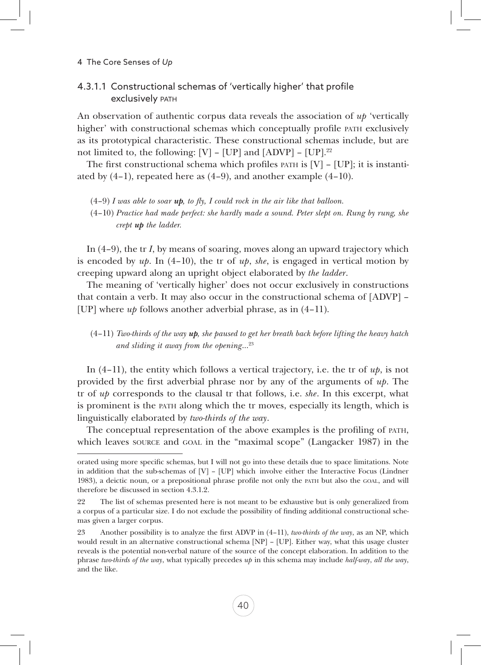### 4.3.1.1 Constructional schemas of 'vertically higher' that profile exclusively PATH

An observation of authentic corpus data reveals the association of *up* 'vertically higher' with constructional schemas which conceptually profile path exclusively as its prototypical characteristic. These constructional schemas include, but are not limited to, the following:  $[V] - [UP]$  and  $[ADVP] - [UP]$ .<sup>22</sup>

The first constructional schema which profiles  $PATH$  is  $[V] - [UP]$ ; it is instantiated by (4–1), repeated here as (4–9), and another example (4–10).

(4–9) *I was able to soar up, to fly, I could rock in the air like that balloon.*

(4–10) *Practice had made perfect: she hardly made a sound. Peter slept on. Rung by rung, she crept up the ladder.*

In (4–9), the tr *I*, by means of soaring, moves along an upward trajectory which is encoded by  $up$ . In (4–10), the tr of  $up$ , *she*, is engaged in vertical motion by creeping upward along an upright object elaborated by *the ladder*.

The meaning of 'vertically higher' does not occur exclusively in constructions that contain a verb. It may also occur in the constructional schema of [ADVP] – [UP] where *up* follows another adverbial phrase, as in (4–11).

### (4–11) *Two-thirds of the way up, she paused to get her breath back before lifting the heavy hatch and sliding it away from the opening*…23

In (4–11), the entity which follows a vertical trajectory, i.e. the tr of *up*, is not provided by the first adverbial phrase nor by any of the arguments of *up*. The tr of *up* corresponds to the clausal tr that follows, i.e. *she*. In this excerpt, what is prominent is the path along which the tr moves, especially its length, which is linguistically elaborated by *two-thirds of the way*.

The conceptual representation of the above examples is the profiling of path, which leaves source and goal in the "maximal scope" (Langacker 1987) in the

orated using more specific schemas, but I will not go into these details due to space limitations. Note in addition that the sub-schemas of  $[V]$  –  $[UP]$  which involve either the Interactive Focus (Lindner 1983), a deictic noun, or a prepositional phrase profile not only the path but also the goal, and will therefore be discussed in section 4.3.1.2.

<sup>22</sup> The list of schemas presented here is not meant to be exhaustive but is only generalized from a corpus of a particular size. I do not exclude the possibility of finding additional constructional schemas given a larger corpus.

<sup>23</sup> Another possibility is to analyze the first ADVP in (4–11), *two-thirds of the way*, as an NP, which would result in an alternative constructional schema [NP] – [UP]. Either way, what this usage cluster reveals is the potential non-verbal nature of the source of the concept elaboration. In addition to the phrase *two-thirds of the way*, what typically precedes *up* in this schema may include *half-way*, *all the way*, and the like.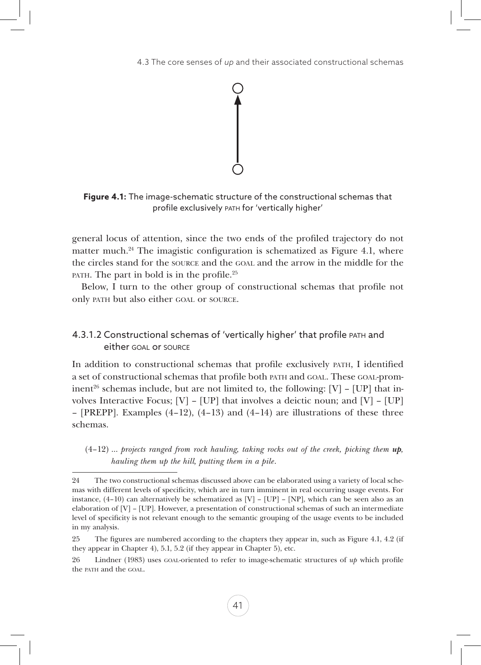

**Figure 4.1:** The image-schematic structure of the constructional schemas that profile exclusively path for 'vertically higher'

general locus of attention, since the two ends of the profiled trajectory do not matter much.<sup>24</sup> The imagistic configuration is schematized as Figure 4.1, where the circles stand for the source and the goal and the arrow in the middle for the PATH. The part in bold is in the profile.<sup>25</sup>

Below, I turn to the other group of constructional schemas that profile not only path but also either goal or source.

# 4.3.1.2 Constructional schemas of 'vertically higher' that profile path and either goal or source

In addition to constructional schemas that profile exclusively path, I identified a set of constructional schemas that profile both path and goal. These goal-prominent<sup>26</sup> schemas include, but are not limited to, the following:  $[V]$  –  $[UP]$  that involves Interactive Focus;  $[V] - [UP]$  that involves a deictic noun; and  $[V] - [UP]$ – [PREPP]. Examples (4–12), (4–13) and (4–14) are illustrations of these three schemas.

(4–12) … *projects ranged from rock hauling, taking rocks out of the creek, picking them up, hauling them up the hill, putting them in a pile*.

<sup>24</sup> The two constructional schemas discussed above can be elaborated using a variety of local schemas with different levels of specificity, which are in turn imminent in real occurring usage events. For instance,  $(4-10)$  can alternatively be schematized as  $[V]$  –  $[UP]$  –  $[NP]$ , which can be seen also as an elaboration of [V] – [UP]. However, a presentation of constructional schemas of such an intermediate level of specificity is not relevant enough to the semantic grouping of the usage events to be included in my analysis.

<sup>25</sup> The figures are numbered according to the chapters they appear in, such as Figure 4.1, 4.2 (if they appear in Chapter 4), 5.1, 5.2 (if they appear in Chapter 5), etc.

<sup>26</sup> Lindner (1983) uses goal-oriented to refer to image-schematic structures of *up* which profile the path and the GOAL.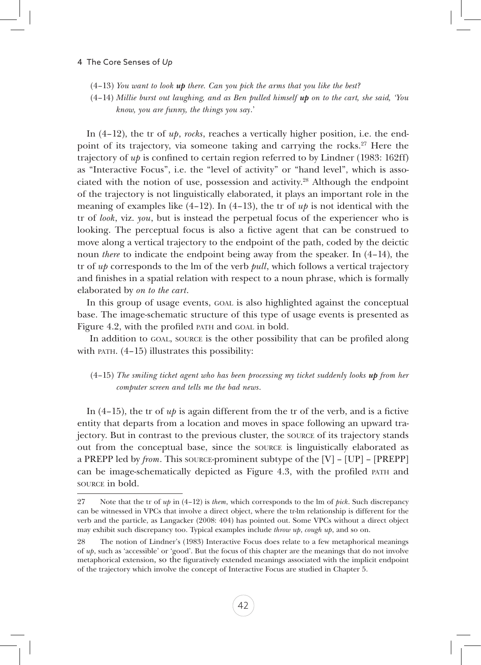(4–13) *You want to look up there. Can you pick the arms that you like the best?*

(4–14) *Millie burst out laughing, and as Ben pulled himself up on to the cart, she said, 'You know, you are funny, the things you say*.'

In (4–12), the tr of *up*, *rocks*, reaches a vertically higher position, i.e. the endpoint of its trajectory, via someone taking and carrying the rocks.27 Here the trajectory of *up* is confined to certain region referred to by Lindner (1983: 162ff) as "Interactive Focus", i.e. the "level of activity" or "hand level", which is associated with the notion of use, possession and activity.<sup>28</sup> Although the endpoint of the trajectory is not linguistically elaborated, it plays an important role in the meaning of examples like  $(4-12)$ . In  $(4-13)$ , the tr of  $up$  is not identical with the tr of *look*, viz. *you*, but is instead the perpetual focus of the experiencer who is looking. The perceptual focus is also a fictive agent that can be construed to move along a vertical trajectory to the endpoint of the path, coded by the deictic noun *there* to indicate the endpoint being away from the speaker. In (4–14), the tr of *up* corresponds to the lm of the verb *pull*, which follows a vertical trajectory and finishes in a spatial relation with respect to a noun phrase, which is formally elaborated by *on to the cart*.

In this group of usage events, GOAL is also highlighted against the conceptual base. The image-schematic structure of this type of usage events is presented as Figure 4.2, with the profiled PATH and GOAL in bold.

 In addition to goal, source is the other possibility that can be profiled along with PATH.  $(4-15)$  illustrates this possibility:

### $(4-15)$  *The smiling ticket agent who has been processing my ticket suddenly looks up from her computer screen and tells me the bad news*.

In  $(4-15)$ , the tr of  $up$  is again different from the tr of the verb, and is a fictive entity that departs from a location and moves in space following an upward trajectory. But in contrast to the previous cluster, the source of its trajectory stands out from the conceptual base, since the source is linguistically elaborated as a PREPP led by *from*. This source-prominent subtype of the [V] – [UP] – [PREPP] can be image-schematically depicted as Figure 4.3, with the profiled path and source in bold.

<sup>27</sup> Note that the tr of *up* in (4–12) is *them*, which corresponds to the lm of *pick*. Such discrepancy can be witnessed in VPCs that involve a direct object, where the tr-lm relationship is different for the verb and the particle, as Langacker (2008: 404) has pointed out. Some VPCs without a direct object may exhibit such discrepancy too. Typical examples include *throw up*, *cough up*, and so on.

<sup>28</sup> The notion of Lindner's (1983) Interactive Focus does relate to a few metaphorical meanings of *up*, such as 'accessible' or 'good'. But the focus of this chapter are the meanings that do not involve metaphorical extension, so the figuratively extended meanings associated with the implicit endpoint of the trajectory which involve the concept of Interactive Focus are studied in Chapter 5.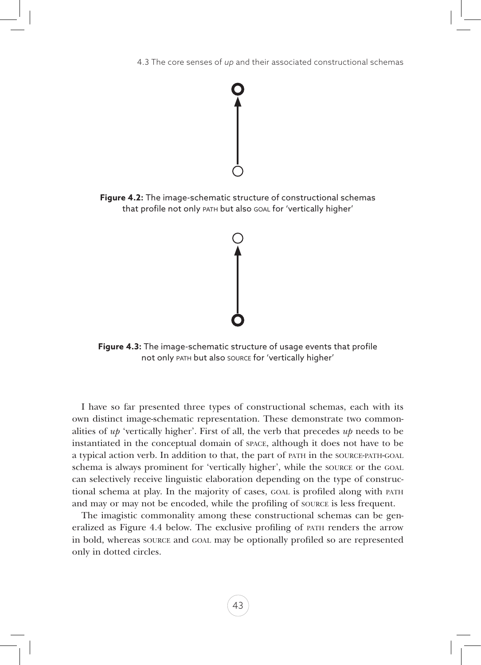

**Figure 4.2:** The image-schematic structure of constructional schemas that profile not only path but also goal for 'vertically higher'



**Figure 4.3:** The image-schematic structure of usage events that profile not only path but also source for 'vertically higher'

I have so far presented three types of constructional schemas, each with its own distinct image-schematic representation. These demonstrate two commonalities of *up* 'vertically higher'. First of all, the verb that precedes *up* needs to be instantiated in the conceptual domain of space, although it does not have to be a typical action verb. In addition to that, the part of path in the source-path-goal schema is always prominent for 'vertically higher', while the source or the goal can selectively receive linguistic elaboration depending on the type of constructional schema at play. In the majority of cases, goal is profiled along with path and may or may not be encoded, while the profiling of source is less frequent.

The imagistic commonality among these constructional schemas can be generalized as Figure 4.4 below. The exclusive profiling of path renders the arrow in bold, whereas source and goal may be optionally profiled so are represented only in dotted circles.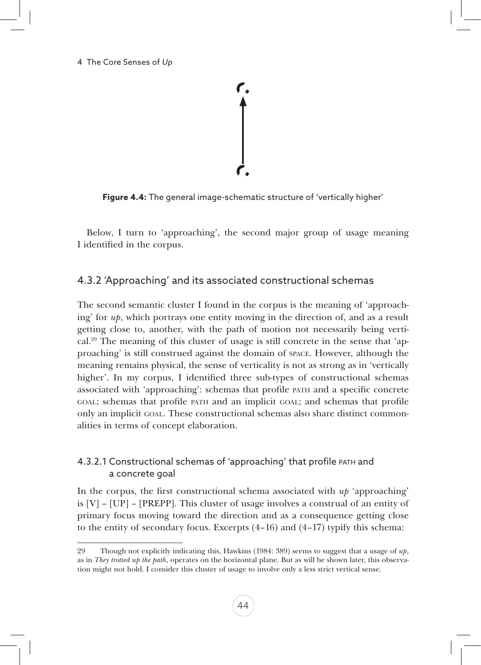

**Figure 4.4:** The general image-schematic structure of 'vertically higher'

Below, I turn to 'approaching', the second major group of usage meaning I identified in the corpus.

# 4.3.2 'Approaching' and its associated constructional schemas

The second semantic cluster I found in the corpus is the meaning of 'approaching' for *up*, which portrays one entity moving in the direction of, and as a result getting close to, another, with the path of motion not necessarily being verti $cal<sup>29</sup>$ . The meaning of this cluster of usage is still concrete in the sense that 'approaching' is still construed against the domain of space. However, although the meaning remains physical, the sense of verticality is not as strong as in 'vertically higher'. In my corpus, I identified three sub-types of constructional schemas associated with 'approaching': schemas that profile path and a specific concrete goal; schemas that profile path and an implicit goal; and schemas that profile only an implicit goal. These constructional schemas also share distinct commonalities in terms of concept elaboration.

# 4.3.2.1 Constructional schemas of 'approaching' that profile path and a concrete goal

In the corpus, the first constructional schema associated with  $u\dot{p}$  'approaching' is  $[V] - [UP] - [PREPP]$ . This cluster of usage involves a construal of an entity of primary focus moving toward the direction and as a consequence getting close to the entity of secondary focus. Excerpts  $(4-16)$  and  $(4-17)$  typify this schema:

<sup>29</sup> Though not explicitly indicating this, Hawkins (1984: 389) seems to suggest that a usage of *up*, as in *They trotted up the path*, operates on the horizontal plane. But as will be shown later, this observation might not hold. I consider this cluster of usage to involve only a less strict vertical sense.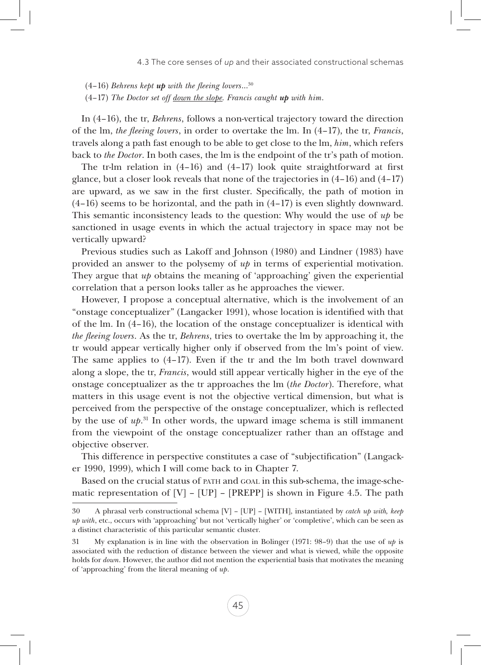(4–16) *Behrens kept up with the fleeing lovers*…30

(4–17) *The Doctor set off down the slope. Francis caught up with him*.

In (4–16), the tr, *Behrens*, follows a non-vertical trajectory toward the direction of the lm, *the fleeing lovers*, in order to overtake the lm. In (4–17), the tr, *Francis*, travels along a path fast enough to be able to get close to the lm, *him*, which refers back to *the Doctor*. In both cases, the lm is the endpoint of the tr's path of motion.

The tr-lm relation in  $(4-16)$  and  $(4-17)$  look quite straightforward at first glance, but a closer look reveals that none of the trajectories in (4–16) and (4–17) are upward, as we saw in the first cluster. Specifically, the path of motion in (4–16) seems to be horizontal, and the path in (4–17) is even slightly downward. This semantic inconsistency leads to the question: Why would the use of *up* be sanctioned in usage events in which the actual trajectory in space may not be vertically upward?

Previous studies such as Lakoff and Johnson (1980) and Lindner (1983) have provided an answer to the polysemy of *up* in terms of experiential motivation. They argue that *up* obtains the meaning of 'approaching' given the experiential correlation that a person looks taller as he approaches the viewer.

However, I propose a conceptual alternative, which is the involvement of an "onstage conceptualizer" (Langacker 1991), whose location is identified with that of the lm. In (4–16), the location of the onstage conceptualizer is identical with *the fleeing lovers*. As the tr, *Behrens*, tries to overtake the lm by approaching it, the tr would appear vertically higher only if observed from the lm's point of view. The same applies to (4–17). Even if the tr and the lm both travel downward along a slope, the tr, *Francis*, would still appear vertically higher in the eye of the onstage conceptualizer as the tr approaches the lm (*the Doctor*). Therefore, what matters in this usage event is not the objective vertical dimension, but what is perceived from the perspective of the onstage conceptualizer, which is reflected by the use of *up*. 31 In other words, the upward image schema is still immanent from the viewpoint of the onstage conceptualizer rather than an offstage and objective observer.

This difference in perspective constitutes a case of "subjectification" (Langacker 1990, 1999), which I will come back to in Chapter 7.

Based on the crucial status of path and goal in this sub-schema, the image-schematic representation of  $[V] - [UP] - [PREPP]$  is shown in Figure 4.5. The path

<sup>30</sup> A phrasal verb constructional schema [V] – [UP] – [WITH], instantiated by *catch up with, keep up with*, etc., occurs with 'approaching' but not 'vertically higher' or 'completive', which can be seen as a distinct characteristic of this particular semantic cluster.

<sup>31</sup> My explanation is in line with the observation in Bolinger (1971: 98–9) that the use of *up* is associated with the reduction of distance between the viewer and what is viewed, while the opposite holds for *down*. However, the author did not mention the experiential basis that motivates the meaning of 'approaching' from the literal meaning of *up*.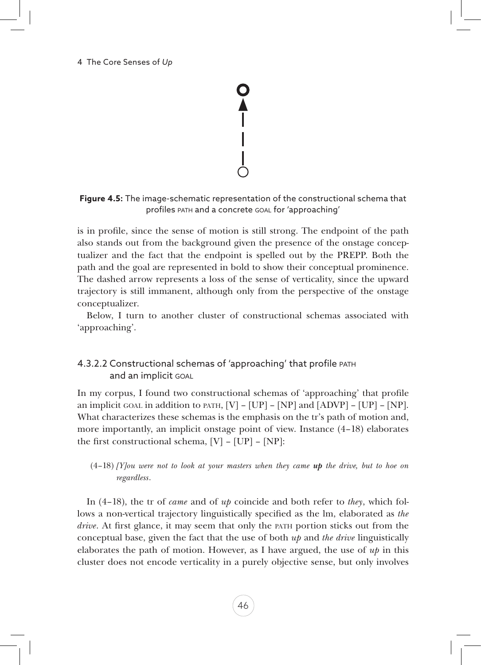#### 4 The Core Senses of *Up*

 $\begin{array}{c} \n\blacktriangle \n\end{array}$ 

**Figure 4.5:** The image-schematic representation of the constructional schema that profiles path and a concrete goal for 'approaching'

is in profile, since the sense of motion is still strong. The endpoint of the path also stands out from the background given the presence of the onstage conceptualizer and the fact that the endpoint is spelled out by the PREPP. Both the path and the goal are represented in bold to show their conceptual prominence. The dashed arrow represents a loss of the sense of verticality, since the upward trajectory is still immanent, although only from the perspective of the onstage conceptualizer.

Below, I turn to another cluster of constructional schemas associated with 'approaching'.

# 4.3.2.2 Constructional schemas of 'approaching' that profile path and an implicit goal

In my corpus, I found two constructional schemas of 'approaching' that profile an implicit goal in addition to path,  $[V] - [UP] - [NP]$  and  $[ADVP] - [UP] - [NP]$ . What characterizes these schemas is the emphasis on the tr's path of motion and, more importantly, an implicit onstage point of view. Instance (4–18) elaborates the first constructional schema,  $[V] - [UP] - [NP]$ :

### (4–18) *[Y]ou were not to look at your masters when they came up the drive, but to hoe on regardless*.

In (4–18), the tr of *came* and of *up* coincide and both refer to *they*, which follows a non-vertical trajectory linguistically specified as the lm, elaborated as *the drive*. At first glance, it may seem that only the path portion sticks out from the conceptual base, given the fact that the use of both *up* and *the drive* linguistically elaborates the path of motion. However, as I have argued, the use of *up* in this cluster does not encode verticality in a purely objective sense, but only involves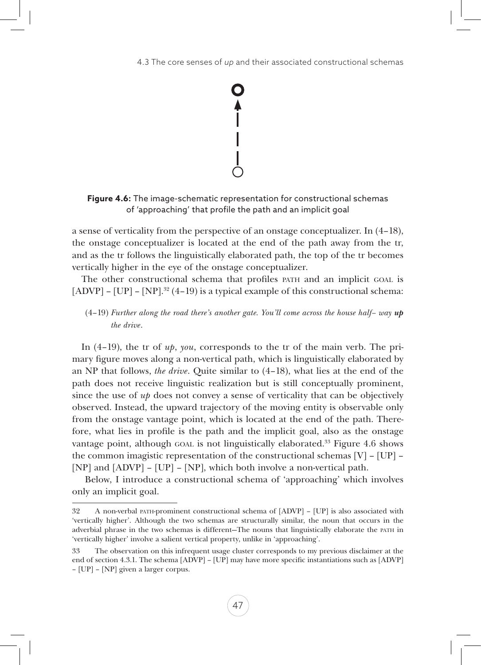

**Figure 4.6:** The image-schematic representation for constructional schemas of 'approaching' that profile the path and an implicit goal

a sense of verticality from the perspective of an onstage conceptualizer. In (4–18), the onstage conceptualizer is located at the end of the path away from the tr, and as the tr follows the linguistically elaborated path, the top of the tr becomes vertically higher in the eye of the onstage conceptualizer.

The other constructional schema that profiles PATH and an implicit GOAL is  $[ADVP]$  –  $[UP]$  –  $[NP]$ .<sup>32</sup> (4–19) is a typical example of this constructional schema:

(4–19) *Further along the road there's another gate. You'll come across the house half– way up the drive*.

In (4–19), the tr of *up*, *you*, corresponds to the tr of the main verb. The primary figure moves along a non-vertical path, which is linguistically elaborated by an NP that follows, *the drive*. Quite similar to (4–18), what lies at the end of the path does not receive linguistic realization but is still conceptually prominent, since the use of *up* does not convey a sense of verticality that can be objectively observed. Instead, the upward trajectory of the moving entity is observable only from the onstage vantage point, which is located at the end of the path. Therefore, what lies in profile is the path and the implicit goal, also as the onstage vantage point, although GOAL is not linguistically elaborated.<sup>33</sup> Figure 4.6 shows the common imagistic representation of the constructional schemas [V] – [UP] – [NP] and [ADVP] – [UP] – [NP], which both involve a non-vertical path.

 Below, I introduce a constructional schema of 'approaching' which involves only an implicit goal.

<sup>32</sup> A non-verbal path-prominent constructional schema of [ADVP] – [UP] is also associated with 'vertically higher'. Although the two schemas are structurally similar, the noun that occurs in the adverbial phrase in the two schemas is different—The nouns that linguistically elaborate the path in 'vertically higher' involve a salient vertical property, unlike in 'approaching'.

<sup>33</sup> The observation on this infrequent usage cluster corresponds to my previous disclaimer at the end of section 4.3.1. The schema [ADVP] – [UP] may have more specific instantiations such as [ADVP] – [UP] – [NP] given a larger corpus.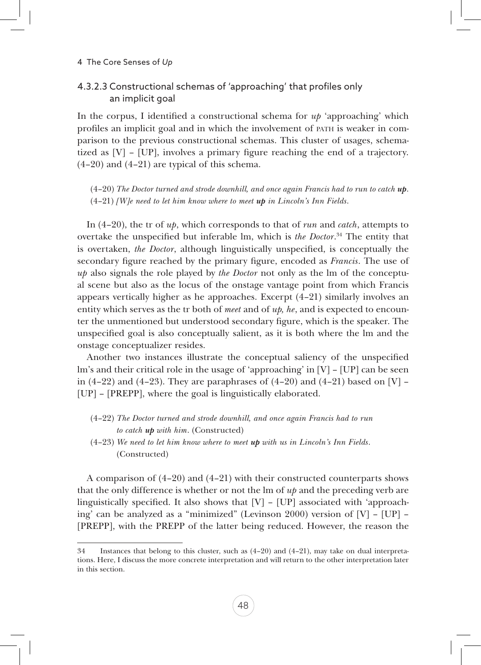### 4.3.2.3 Constructional schemas of 'approaching' that profiles only an implicit goal

In the corpus, I identified a constructional schema for  $up'$  approaching' which profiles an implicit goal and in which the involvement of path is weaker in comparison to the previous constructional schemas. This cluster of usages, schematized as [V] – [UP], involves a primary figure reaching the end of a trajectory.  $(4-20)$  and  $(4-21)$  are typical of this schema.

(4–20) *The Doctor turned and strode downhill, and once again Francis had to run to catch up*. (4–21) *[W]e need to let him know where to meet up in Lincoln's Inn Fields*.

In (4–20), the tr of *up*, which corresponds to that of *run* and *catch*, attempts to overtake the unspecified but inferable lm, which is *the Doctor*. 34 The entity that is overtaken, *the Doctor*, although linguistically unspecified, is conceptually the secondary figure reached by the primary figure, encoded as *Francis*. The use of *up* also signals the role played by *the Doctor* not only as the lm of the conceptual scene but also as the locus of the onstage vantage point from which Francis appears vertically higher as he approaches. Excerpt  $(4-21)$  similarly involves an entity which serves as the tr both of *meet* and of *up, he*, and is expected to encounter the unmentioned but understood secondary figure, which is the speaker. The unspecified goal is also conceptually salient, as it is both where the lm and the onstage conceptualizer resides.

Another two instances illustrate the conceptual saliency of the unspecified lm's and their critical role in the usage of 'approaching' in [V] – [UP] can be seen in  $(4-22)$  and  $(4-23)$ . They are paraphrases of  $(4-20)$  and  $(4-21)$  based on [V] – [UP] – [PREPP], where the goal is linguistically elaborated.

- (4–22) *The Doctor turned and strode downhill, and once again Francis had to run to catch up with him*. (Constructed)
- (4–23) *We need to let him know where to meet up with us in Lincoln's Inn Fields*. (Constructed)

A comparison of (4–20) and (4–21) with their constructed counterparts shows that the only difference is whether or not the lm of *up* and the preceding verb are linguistically specified. It also shows that [V] – [UP] associated with 'approaching' can be analyzed as a "minimized" (Levinson 2000) version of [V] – [UP] – [PREPP], with the PREPP of the latter being reduced. However, the reason the

<sup>34</sup> Instances that belong to this cluster, such as (4–20) and (4–21), may take on dual interpretations. Here, I discuss the more concrete interpretation and will return to the other interpretation later in this section.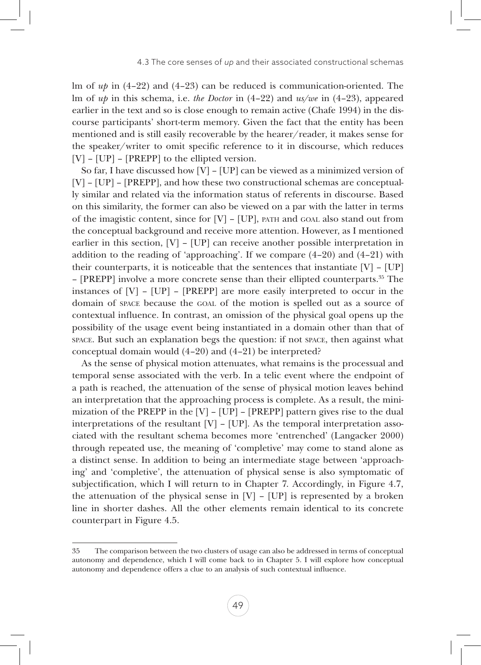lm of *up* in (4–22) and (4–23) can be reduced is communication-oriented. The lm of *up* in this schema, i.e. *the Doctor* in (4–22) and *us/we* in (4–23), appeared earlier in the text and so is close enough to remain active (Chafe 1994) in the discourse participants' short-term memory. Given the fact that the entity has been mentioned and is still easily recoverable by the hearer/reader, it makes sense for the speaker/writer to omit specific reference to it in discourse, which reduces [V] – [UP] – [PREPP] to the ellipted version.

So far, I have discussed how [V] – [UP] can be viewed as a minimized version of [V] – [UP] – [PREPP], and how these two constructional schemas are conceptually similar and related via the information status of referents in discourse. Based on this similarity, the former can also be viewed on a par with the latter in terms of the imagistic content, since for [V] – [UP], path and goal also stand out from the conceptual background and receive more attention. However, as I mentioned earlier in this section, [V] – [UP] can receive another possible interpretation in addition to the reading of 'approaching'. If we compare (4–20) and (4–21) with their counterparts, it is noticeable that the sentences that instantiate  $[V] - [UP]$ – [PREPP] involve a more concrete sense than their ellipted counterparts.35 The instances of  $[V] - [UP] - [PREPP]$  are more easily interpreted to occur in the domain of space because the goal of the motion is spelled out as a source of contextual influence. In contrast, an omission of the physical goal opens up the possibility of the usage event being instantiated in a domain other than that of space. But such an explanation begs the question: if not space, then against what conceptual domain would (4–20) and (4–21) be interpreted?

As the sense of physical motion attenuates, what remains is the processual and temporal sense associated with the verb. In a telic event where the endpoint of a path is reached, the attenuation of the sense of physical motion leaves behind an interpretation that the approaching process is complete. As a result, the minimization of the PREPP in the [V] – [UP] – [PREPP] pattern gives rise to the dual interpretations of the resultant [V] – [UP]. As the temporal interpretation associated with the resultant schema becomes more 'entrenched' (Langacker 2000) through repeated use, the meaning of 'completive' may come to stand alone as a distinct sense. In addition to being an intermediate stage between 'approaching' and 'completive', the attenuation of physical sense is also symptomatic of subjectification, which I will return to in Chapter 7. Accordingly, in Figure 4.7, the attenuation of the physical sense in [V] – [UP] is represented by a broken line in shorter dashes. All the other elements remain identical to its concrete counterpart in Figure 4.5.

<sup>35</sup> The comparison between the two clusters of usage can also be addressed in terms of conceptual autonomy and dependence, which I will come back to in Chapter 5. I will explore how conceptual autonomy and dependence offers a clue to an analysis of such contextual influence.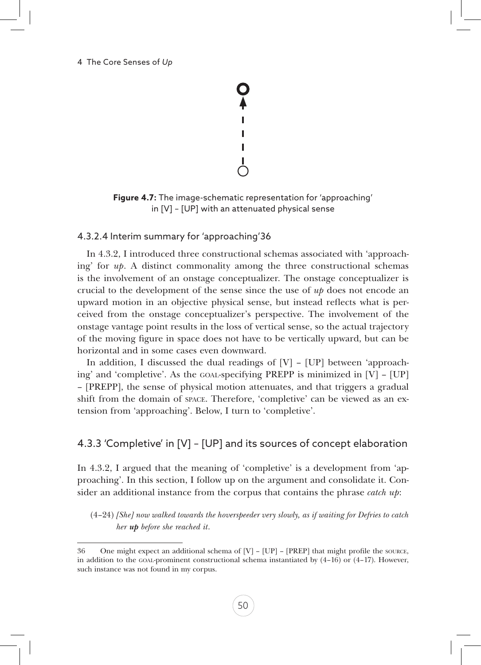

**Figure 4.7:** The image-schematic representation for 'approaching' in [V] – [UP] with an attenuated physical sense

### 4.3.2.4 Interim summary for 'approaching'36

In 4.3.2, I introduced three constructional schemas associated with 'approaching' for *up*. A distinct commonality among the three constructional schemas is the involvement of an onstage conceptualizer. The onstage conceptualizer is crucial to the development of the sense since the use of *up* does not encode an upward motion in an objective physical sense, but instead reflects what is perceived from the onstage conceptualizer's perspective. The involvement of the onstage vantage point results in the loss of vertical sense, so the actual trajectory of the moving figure in space does not have to be vertically upward, but can be horizontal and in some cases even downward.

In addition, I discussed the dual readings of  $[V]$  –  $[UP]$  between 'approaching' and 'completive'. As the goal-specifying PREPP is minimized in [V] – [UP] – [PREPP], the sense of physical motion attenuates, and that triggers a gradual shift from the domain of space. Therefore, 'completive' can be viewed as an extension from 'approaching'. Below, I turn to 'completive'.

# 4.3.3 'Completive' in [V] – [UP] and its sources of concept elaboration

In 4.3.2, I argued that the meaning of 'completive' is a development from 'approaching'. In this section, I follow up on the argument and consolidate it. Consider an additional instance from the corpus that contains the phrase *catch up*:

(4–24) *[She] now walked towards the hoverspeeder very slowly, as if waiting for Defries to catch her up before she reached it*.

<sup>36</sup> One might expect an additional schema of [V] – [UP] – [PREP] that might profile the source, in addition to the GOAL-prominent constructional schema instantiated by  $(4-16)$  or  $(4-17)$ . However, such instance was not found in my corpus.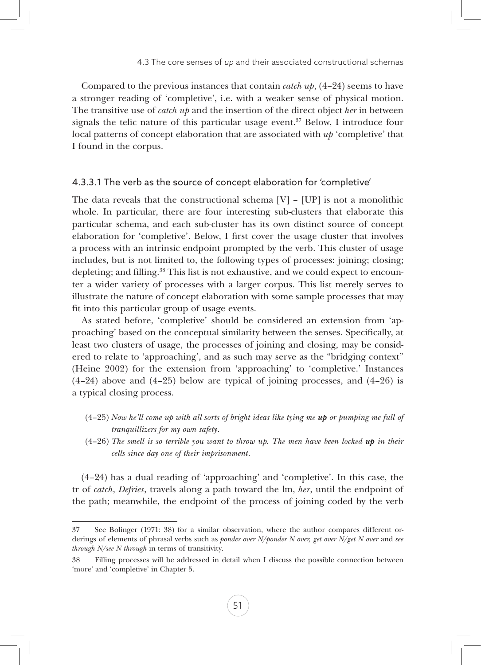Compared to the previous instances that contain *catch up*, (4–24) seems to have a stronger reading of 'completive', i.e. with a weaker sense of physical motion. The transitive use of *catch up* and the insertion of the direct object *her* in between signals the telic nature of this particular usage event. $37$  Below, I introduce four local patterns of concept elaboration that are associated with *up* 'completive' that I found in the corpus.

### 4.3.3.1 The verb as the source of concept elaboration for 'completive'

The data reveals that the constructional schema  $[V] - [UP]$  is not a monolithic whole. In particular, there are four interesting sub-clusters that elaborate this particular schema, and each sub-cluster has its own distinct source of concept elaboration for 'completive'. Below, I first cover the usage cluster that involves a process with an intrinsic endpoint prompted by the verb. This cluster of usage includes, but is not limited to, the following types of processes: joining; closing; depleting; and filling.<sup>38</sup> This list is not exhaustive, and we could expect to encounter a wider variety of processes with a larger corpus. This list merely serves to illustrate the nature of concept elaboration with some sample processes that may fit into this particular group of usage events.

As stated before, 'completive' should be considered an extension from 'approaching' based on the conceptual similarity between the senses. Specifically, at least two clusters of usage, the processes of joining and closing, may be considered to relate to 'approaching', and as such may serve as the "bridging context" (Heine 2002) for the extension from 'approaching' to 'completive.' Instances (4–24) above and (4–25) below are typical of joining processes, and (4–26) is a typical closing process.

- (4–25) *Now he'll come up with all sorts of bright ideas like tying me up or pumping me full of tranquillizers for my own safety*.
- (4–26) *The smell is so terrible you want to throw up. The men have been locked up in their cells since day one of their imprisonment*.

(4–24) has a dual reading of 'approaching' and 'completive'. In this case, the tr of *catch*, *Defries*, travels along a path toward the lm, *her*, until the endpoint of the path; meanwhile, the endpoint of the process of joining coded by the verb

<sup>37</sup> See Bolinger (1971: 38) for a similar observation, where the author compares different orderings of elements of phrasal verbs such as *ponder over N/ponder N over, get over N/get N over* and *see through N/see N through* in terms of transitivity.

<sup>38</sup> Filling processes will be addressed in detail when I discuss the possible connection between 'more' and 'completive' in Chapter 5.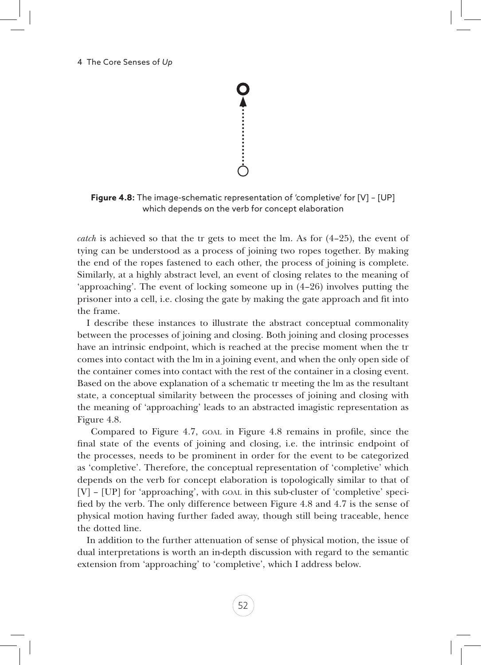**Figure 4.8:** The image-schematic representation of 'completive' for [V] – [UP] which depends on the verb for concept elaboration

*catch* is achieved so that the tr gets to meet the lm. As for (4–25), the event of tying can be understood as a process of joining two ropes together. By making the end of the ropes fastened to each other, the process of joining is complete. Similarly, at a highly abstract level, an event of closing relates to the meaning of 'approaching'. The event of locking someone up in (4–26) involves putting the prisoner into a cell, i.e. closing the gate by making the gate approach and fit into the frame.

I describe these instances to illustrate the abstract conceptual commonality between the processes of joining and closing. Both joining and closing processes have an intrinsic endpoint, which is reached at the precise moment when the tr comes into contact with the lm in a joining event, and when the only open side of the container comes into contact with the rest of the container in a closing event. Based on the above explanation of a schematic tr meeting the lm as the resultant state, a conceptual similarity between the processes of joining and closing with the meaning of 'approaching' leads to an abstracted imagistic representation as Figure 4.8.

 Compared to Figure 4.7, goal in Figure 4.8 remains in profile, since the final state of the events of joining and closing, i.e. the intrinsic endpoint of the processes, needs to be prominent in order for the event to be categorized as 'completive'. Therefore, the conceptual representation of 'completive' which depends on the verb for concept elaboration is topologically similar to that of [V] – [UP] for 'approaching', with goal in this sub-cluster of 'completive' specified by the verb. The only difference between Figure 4.8 and 4.7 is the sense of physical motion having further faded away, though still being traceable, hence the dotted line.

In addition to the further attenuation of sense of physical motion, the issue of dual interpretations is worth an in-depth discussion with regard to the semantic extension from 'approaching' to 'completive', which I address below.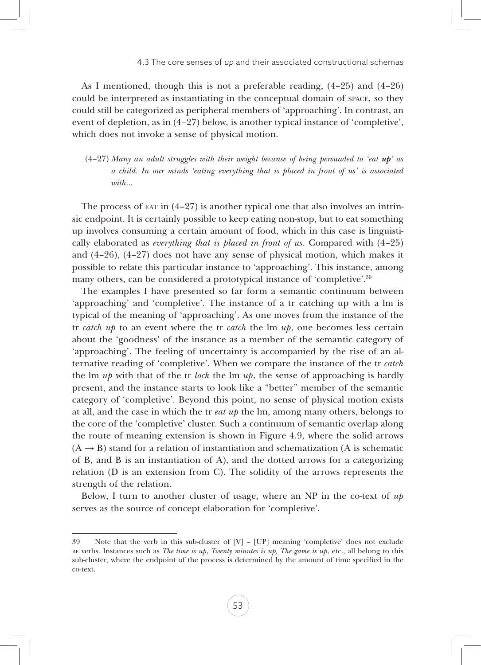As I mentioned, though this is not a preferable reading, (4–25) and (4–26) could be interpreted as instantiating in the conceptual domain of space, so they could still be categorized as peripheral members of 'approaching'. In contrast, an event of depletion, as in (4–27) below, is another typical instance of 'completive', which does not invoke a sense of physical motion.

(4–27) *Many an adult struggles with their weight because of being persuaded to 'eat up' as a child. In our minds 'eating everything that is placed in front of us' is associated with*…

The process of  $ext{ERT}$  in  $(4-27)$  is another typical one that also involves an intrinsic endpoint. It is certainly possible to keep eating non-stop, but to eat something up involves consuming a certain amount of food, which in this case is linguistically elaborated as *everything that is placed in front of us*. Compared with (4–25) and (4–26), (4–27) does not have any sense of physical motion, which makes it possible to relate this particular instance to 'approaching'. This instance, among many others, can be considered a prototypical instance of 'completive'.39

The examples I have presented so far form a semantic continuum between 'approaching' and 'completive'. The instance of a tr catching up with a lm is typical of the meaning of 'approaching'. As one moves from the instance of the tr *catch up* to an event where the tr *catch* the lm *up*, one becomes less certain about the 'goodness' of the instance as a member of the semantic category of 'approaching'. The feeling of uncertainty is accompanied by the rise of an alternative reading of 'completive'. When we compare the instance of the tr *catch* the lm *up* with that of the tr *lock* the lm *up*, the sense of approaching is hardly present, and the instance starts to look like a "better" member of the semantic category of 'completive'. Beyond this point, no sense of physical motion exists at all, and the case in which the tr *eat up* the lm, among many others, belongs to the core of the 'completive' cluster. Such a continuum of semantic overlap along the route of meaning extension is shown in Figure 4.9, where the solid arrows  $(A \rightarrow B)$  stand for a relation of instantiation and schematization (A is schematic of B, and B is an instantiation of A), and the dotted arrows for a categorizing relation (D is an extension from C). The solidity of the arrows represents the strength of the relation.

Below, I turn to another cluster of usage, where an NP in the co-text of *up* serves as the source of concept elaboration for 'completive'.

<sup>39</sup> Note that the verb in this sub-cluster of [V] – [UP] meaning 'completive' does not exclude be verbs. Instances such as *The time is up*, *Twenty minutes is up, The game is up*, etc., all belong to this sub-cluster, where the endpoint of the process is determined by the amount of time specified in the co-text.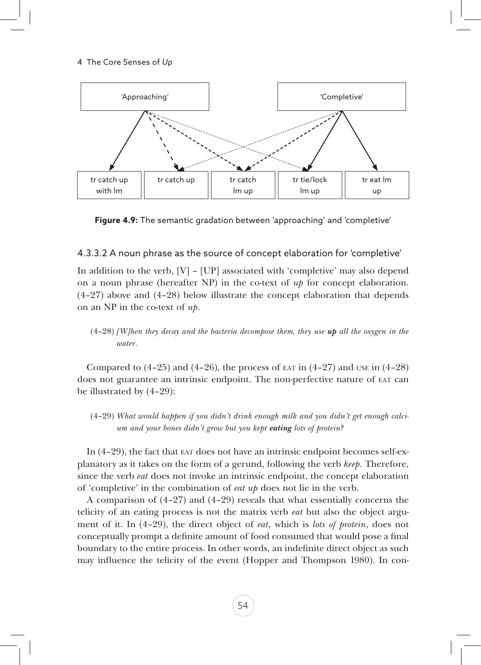

**Figure 4.9:** The semantic gradation between 'approaching' and 'completive'

### 4.3.3.2 A noun phrase as the source of concept elaboration for 'completive'

In addition to the verb,  $[V] - [UP]$  associated with 'completive' may also depend on a noun phrase (hereafter NP) in the co-text of *up* for concept elaboration. (4–27) above and (4–28) below illustrate the concept elaboration that depends on an NP in the co-text of *up*.

(4–28) *[W]hen they decay and the bacteria decompose them, they use up all the oxygen in the water*.

Compared to  $(4-25)$  and  $(4-26)$ , the process of ear in  $(4-27)$  and use in  $(4-28)$ does not guarantee an intrinsic endpoint. The non-perfective nature of eat can be illustrated by (4–29):

(4–29) *What would happen if you didn't drink enough milk and you didn't get enough calcium and your bones didn't grow but you kept eating lots of protein?*

In (4–29), the fact that eat does not have an intrinsic endpoint becomes self-explanatory as it takes on the form of a gerund, following the verb *keep*. Therefore, since the verb *eat* does not invoke an intrinsic endpoint, the concept elaboration of 'completive' in the combination of *eat up* does not lie in the verb.

A comparison of (4–27) and (4–29) reveals that what essentially concerns the telicity of an eating process is not the matrix verb *eat* but also the object argument of it. In (4–29), the direct object of *eat*, which is *lots of protein*, does not conceptually prompt a definite amount of food consumed that would pose a final boundary to the entire process. In other words, an indefinite direct object as such may influence the telicity of the event (Hopper and Thompson 1980). In con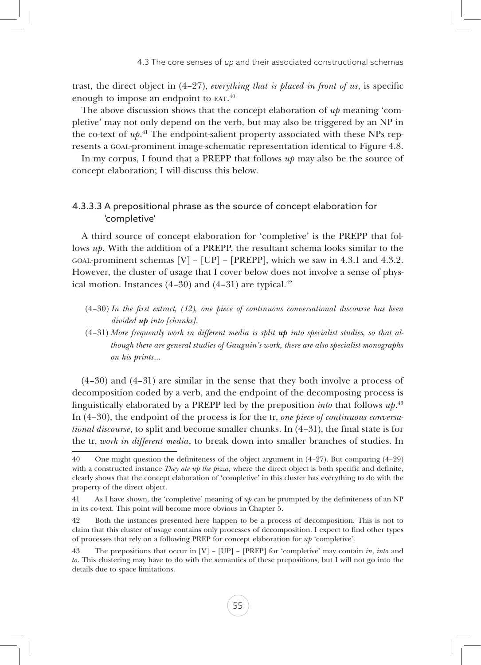trast, the direct object in (4–27), *everything that is placed in front of us*, is specific enough to impose an endpoint to EAT.<sup>40</sup>

The above discussion shows that the concept elaboration of *up* meaning 'completive' may not only depend on the verb, but may also be triggered by an NP in the co-text of *up*. 41 The endpoint-salient property associated with these NPs represents a goal-prominent image-schematic representation identical to Figure 4.8.

In my corpus, I found that a PREPP that follows *up* may also be the source of concept elaboration; I will discuss this below.

### 4.3.3.3 A prepositional phrase as the source of concept elaboration for 'completive'

A third source of concept elaboration for 'completive' is the PREPP that follows *up*. With the addition of a PREPP, the resultant schema looks similar to the GOAL-prominent schemas  $[V] - [UP] - [PREPP]$ , which we saw in 4.3.1 and 4.3.2. However, the cluster of usage that I cover below does not involve a sense of physical motion. Instances  $(4-30)$  and  $(4-31)$  are typical.<sup>42</sup>

- (4–30) *In the first extract, (12), one piece of continuous conversational discourse has been divided up into [chunks]*.
- (4–31) *More frequently work in different media is split up into specialist studies, so that although there are general studies of Gauguin's work, there are also specialist monographs on his prints*…

(4–30) and (4–31) are similar in the sense that they both involve a process of decomposition coded by a verb, and the endpoint of the decomposing process is linguistically elaborated by a PREPP led by the preposition *into* that follows *up*. 43 In (4–30), the endpoint of the process is for the tr, *one piece of continuous conversational discourse*, to split and become smaller chunks. In (4–31), the final state is for the tr, *work in different media*, to break down into smaller branches of studies. In

<sup>40</sup> One might question the definiteness of the object argument in (4–27). But comparing (4–29) with a constructed instance *They ate up the pizza*, where the direct object is both specific and definite, clearly shows that the concept elaboration of 'completive' in this cluster has everything to do with the property of the direct object.

<sup>41</sup> As I have shown, the 'completive' meaning of *up* can be prompted by the definiteness of an NP in its co-text. This point will become more obvious in Chapter 5.

<sup>42</sup> Both the instances presented here happen to be a process of decomposition. This is not to claim that this cluster of usage contains only processes of decomposition. I expect to find other types of processes that rely on a following PREP for concept elaboration for *up* 'completive'.

<sup>43</sup> The prepositions that occur in [V] – [UP] – [PREP] for 'completive' may contain *in*, *into* and *to*. This clustering may have to do with the semantics of these prepositions, but I will not go into the details due to space limitations.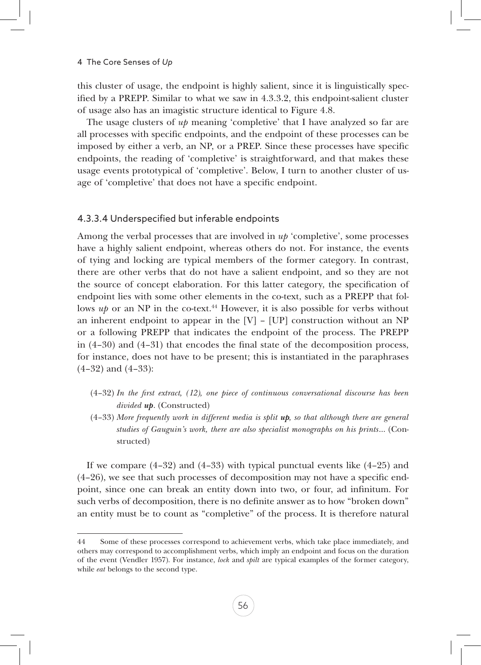this cluster of usage, the endpoint is highly salient, since it is linguistically specified by a PREPP. Similar to what we saw in 4.3.3.2, this endpoint-salient cluster of usage also has an imagistic structure identical to Figure 4.8.

The usage clusters of *up* meaning 'completive' that I have analyzed so far are all processes with specific endpoints, and the endpoint of these processes can be imposed by either a verb, an NP, or a PREP. Since these processes have specific endpoints, the reading of 'completive' is straightforward, and that makes these usage events prototypical of 'completive'. Below, I turn to another cluster of usage of 'completive' that does not have a specific endpoint.

#### 4.3.3.4 Underspecified but inferable endpoints

Among the verbal processes that are involved in *up* 'completive', some processes have a highly salient endpoint, whereas others do not. For instance, the events of tying and locking are typical members of the former category. In contrast, there are other verbs that do not have a salient endpoint, and so they are not the source of concept elaboration. For this latter category, the specification of endpoint lies with some other elements in the co-text, such as a PREPP that follows *up* or an NP in the co-text.<sup>44</sup> However, it is also possible for verbs without an inherent endpoint to appear in the  $[V] - [UP]$  construction without an NP or a following PREPP that indicates the endpoint of the process. The PREPP in  $(4-30)$  and  $(4-31)$  that encodes the final state of the decomposition process, for instance, does not have to be present; this is instantiated in the paraphrases (4–32) and (4–33):

- (4–32) *In the first extract, (12), one piece of continuous conversational discourse has been divided up*. (Constructed)
- (4–33) *More frequently work in different media is split up, so that although there are general studies of Gauguin's work, there are also specialist monographs on his prints*… (Constructed)

If we compare  $(4-32)$  and  $(4-33)$  with typical punctual events like  $(4-25)$  and (4–26), we see that such processes of decomposition may not have a specific endpoint, since one can break an entity down into two, or four, ad infinitum. For such verbs of decomposition, there is no definite answer as to how "broken down" an entity must be to count as "completive" of the process. It is therefore natural

<sup>44</sup> Some of these processes correspond to achievement verbs, which take place immediately, and others may correspond to accomplishment verbs, which imply an endpoint and focus on the duration of the event (Vendler 1957). For instance, *lock* and *spilt* are typical examples of the former category, while *eat* belongs to the second type.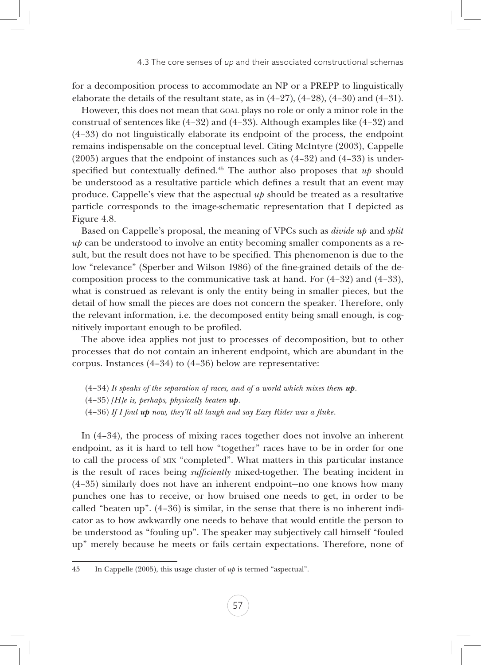for a decomposition process to accommodate an NP or a PREPP to linguistically elaborate the details of the resultant state, as in (4–27), (4–28), (4–30) and (4–31).

However, this does not mean that goal plays no role or only a minor role in the construal of sentences like (4–32) and (4–33). Although examples like (4–32) and (4–33) do not linguistically elaborate its endpoint of the process, the endpoint remains indispensable on the conceptual level. Citing McIntyre (2003), Cappelle (2005) argues that the endpoint of instances such as (4–32) and (4–33) is underspecified but contextually defined.45 The author also proposes that *up* should be understood as a resultative particle which defines a result that an event may produce. Cappelle's view that the aspectual *up* should be treated as a resultative particle corresponds to the image-schematic representation that I depicted as Figure 4.8.

Based on Cappelle's proposal, the meaning of VPCs such as *divide up* and *split up* can be understood to involve an entity becoming smaller components as a result, but the result does not have to be specified. This phenomenon is due to the low "relevance" (Sperber and Wilson 1986) of the fine-grained details of the decomposition process to the communicative task at hand. For (4–32) and (4–33), what is construed as relevant is only the entity being in smaller pieces, but the detail of how small the pieces are does not concern the speaker. Therefore, only the relevant information, i.e. the decomposed entity being small enough, is cognitively important enough to be profiled.

The above idea applies not just to processes of decomposition, but to other processes that do not contain an inherent endpoint, which are abundant in the corpus. Instances (4–34) to (4–36) below are representative:

(4–34) *It speaks of the separation of races, and of a world which mixes them up*. (4–35) *[H]e is, perhaps, physically beaten up*. (4–36) *If I foul up now, they'll all laugh and say Easy Rider was a fluke*.

In (4–34), the process of mixing races together does not involve an inherent endpoint, as it is hard to tell how "together" races have to be in order for one to call the process of mix "completed". What matters in this particular instance is the result of races being *sufficiently* mixed-together. The beating incident in (4–35) similarly does not have an inherent endpoint—no one knows how many punches one has to receive, or how bruised one needs to get, in order to be called "beaten up". (4–36) is similar, in the sense that there is no inherent indicator as to how awkwardly one needs to behave that would entitle the person to be understood as "fouling up". The speaker may subjectively call himself "fouled up" merely because he meets or fails certain expectations. Therefore, none of

<sup>45</sup> In Cappelle (2005), this usage cluster of *up* is termed "aspectual".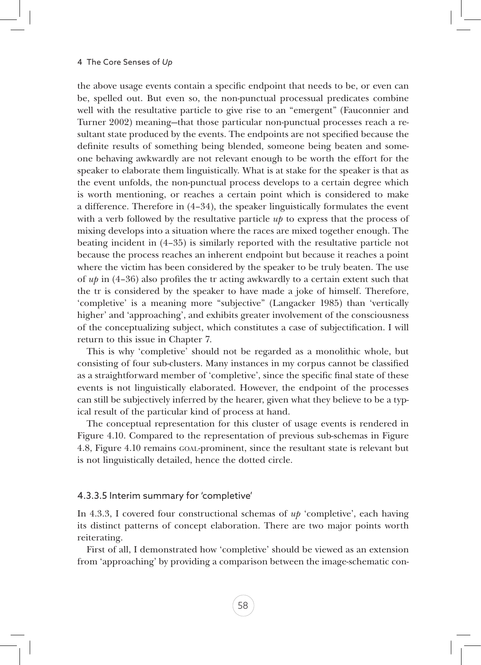the above usage events contain a specific endpoint that needs to be, or even can be, spelled out. But even so, the non-punctual processual predicates combine well with the resultative particle to give rise to an "emergent" (Fauconnier and Turner 2002) meaning—that those particular non-punctual processes reach a resultant state produced by the events. The endpoints are not specified because the definite results of something being blended, someone being beaten and someone behaving awkwardly are not relevant enough to be worth the effort for the speaker to elaborate them linguistically. What is at stake for the speaker is that as the event unfolds, the non-punctual process develops to a certain degree which is worth mentioning, or reaches a certain point which is considered to make a difference. Therefore in (4–34), the speaker linguistically formulates the event with a verb followed by the resultative particle *up* to express that the process of mixing develops into a situation where the races are mixed together enough. The beating incident in (4–35) is similarly reported with the resultative particle not because the process reaches an inherent endpoint but because it reaches a point where the victim has been considered by the speaker to be truly beaten. The use of *up* in (4–36) also profiles the tr acting awkwardly to a certain extent such that the tr is considered by the speaker to have made a joke of himself. Therefore, 'completive' is a meaning more "subjective" (Langacker 1985) than 'vertically higher' and 'approaching', and exhibits greater involvement of the consciousness of the conceptualizing subject, which constitutes a case of subjectification. I will return to this issue in Chapter 7.

This is why 'completive' should not be regarded as a monolithic whole, but consisting of four sub-clusters. Many instances in my corpus cannot be classified as a straightforward member of 'completive', since the specific final state of these events is not linguistically elaborated. However, the endpoint of the processes can still be subjectively inferred by the hearer, given what they believe to be a typical result of the particular kind of process at hand.

The conceptual representation for this cluster of usage events is rendered in Figure 4.10. Compared to the representation of previous sub-schemas in Figure 4.8, Figure 4.10 remains goal-prominent, since the resultant state is relevant but is not linguistically detailed, hence the dotted circle.

#### 4.3.3.5 Interim summary for 'completive'

In 4.3.3, I covered four constructional schemas of *up* 'completive', each having its distinct patterns of concept elaboration. There are two major points worth reiterating.

First of all, I demonstrated how 'completive' should be viewed as an extension from 'approaching' by providing a comparison between the image-schematic con-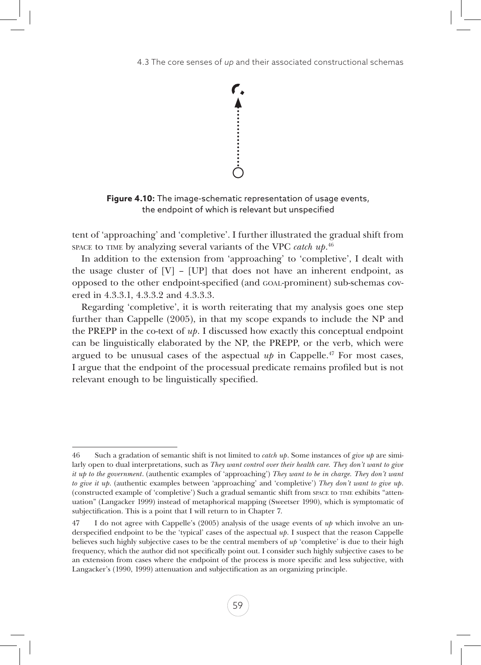

**Figure 4.10:** The image-schematic representation of usage events, the endpoint of which is relevant but unspecified

tent of 'approaching' and 'completive'. I further illustrated the gradual shift from space to time by analyzing several variants of the VPC *catch up*.<sup>46</sup>

In addition to the extension from 'approaching' to 'completive', I dealt with the usage cluster of  $[V]$  –  $[UP]$  that does not have an inherent endpoint, as opposed to the other endpoint-specified (and goal-prominent) sub-schemas covered in 4.3.3.1, 4.3.3.2 and 4.3.3.3.

Regarding 'completive', it is worth reiterating that my analysis goes one step further than Cappelle (2005), in that my scope expands to include the NP and the PREPP in the co-text of  $up$ . I discussed how exactly this conceptual endpoint can be linguistically elaborated by the NP, the PREPP, or the verb, which were argued to be unusual cases of the aspectual  $up$  in Cappelle.<sup>47</sup> For most cases, I argue that the endpoint of the processual predicate remains profiled but is not relevant enough to be linguistically specified.

<sup>46</sup> Such a gradation of semantic shift is not limited to *catch up*. Some instances of *give up* are similarly open to dual interpretations, such as *They want control over their health care. They don't want to give it up to the government*. (authentic examples of 'approaching') *They want to be in charge. They don't want to give it up*. (authentic examples between 'approaching' and 'completive') *They don't want to give up*. (constructed example of 'completive') Such a gradual semantic shift from space to time exhibits "attenuation" (Langacker 1999) instead of metaphorical mapping (Sweetser 1990), which is symptomatic of subjectification. This is a point that I will return to in Chapter 7.

<sup>47</sup> I do not agree with Cappelle's (2005) analysis of the usage events of *up* which involve an underspecified endpoint to be the 'typical' cases of the aspectual *up*. I suspect that the reason Cappelle believes such highly subjective cases to be the central members of *up* 'completive' is due to their high frequency, which the author did not specifically point out. I consider such highly subjective cases to be an extension from cases where the endpoint of the process is more specific and less subjective, with Langacker's (1990, 1999) attenuation and subjectification as an organizing principle.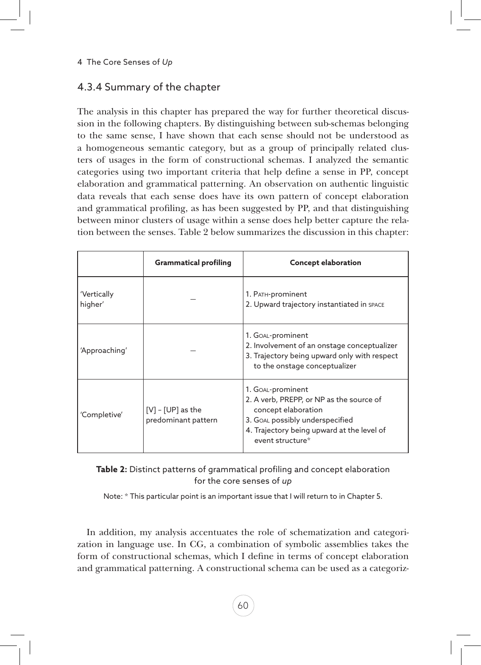# 4.3.4 Summary of the chapter

The analysis in this chapter has prepared the way for further theoretical discussion in the following chapters. By distinguishing between sub-schemas belonging to the same sense, I have shown that each sense should not be understood as a homogeneous semantic category, but as a group of principally related clusters of usages in the form of constructional schemas. I analyzed the semantic categories using two important criteria that help define a sense in PP, concept elaboration and grammatical patterning. An observation on authentic linguistic data reveals that each sense does have its own pattern of concept elaboration and grammatical profiling, as has been suggested by PP, and that distinguishing between minor clusters of usage within a sense does help better capture the relation between the senses. Table 2 below summarizes the discussion in this chapter:

|                                                              | <b>Grammatical profiling</b> | <b>Concept elaboration</b>                                                                                                                                                                |  |
|--------------------------------------------------------------|------------------------------|-------------------------------------------------------------------------------------------------------------------------------------------------------------------------------------------|--|
| 'Vertically<br>higher'                                       |                              | 1. PATH-prominent<br>2. Upward trajectory instantiated in SPACE                                                                                                                           |  |
| 'Approaching'                                                |                              | 1. Goal-prominent<br>2. Involvement of an onstage conceptualizer<br>3. Trajectory being upward only with respect<br>to the onstage conceptualizer                                         |  |
| $[V]$ - $[UP]$ as the<br>'Completive'<br>predominant pattern |                              | 1. Goal-prominent<br>2. A verb, PREPP, or NP as the source of<br>concept elaboration<br>3. GOAL possibly underspecified<br>4. Trajectory being upward at the level of<br>event structure* |  |

**Table 2:** Distinct patterns of grammatical profiling and concept elaboration for the core senses of *up*

Note: \* This particular point is an important issue that I will return to in Chapter 5.

In addition, my analysis accentuates the role of schematization and categorization in language use. In CG, a combination of symbolic assemblies takes the form of constructional schemas, which I define in terms of concept elaboration and grammatical patterning. A constructional schema can be used as a categoriz